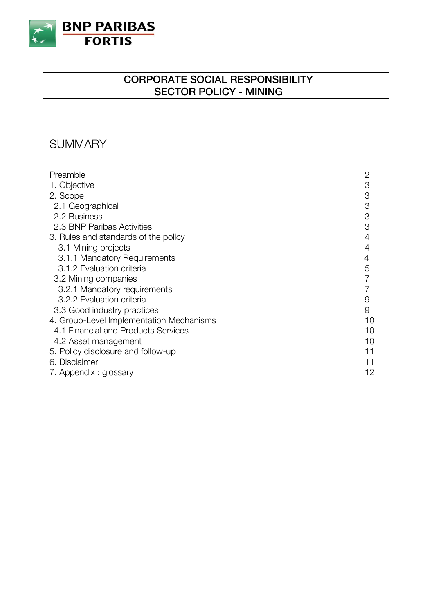

## **CORPORATE SOCIAL RESPONSIBILITY SECTOR POLICY - MINING**

# **SUMMARY**

| Preamble                                 | 2  |
|------------------------------------------|----|
| 1. Objective                             | 3  |
| 2. Scope                                 | 3  |
| 2.1 Geographical                         | 3  |
| 2.2 Business                             | 3  |
|                                          |    |
| 2.3 BNP Paribas Activities               | 3  |
| 3. Rules and standards of the policy     | 4  |
| 3.1 Mining projects                      | 4  |
| 3.1.1 Mandatory Requirements             | 4  |
| 3.1.2 Evaluation criteria                | 5  |
| 3.2 Mining companies                     |    |
| 3.2.1 Mandatory requirements             |    |
| 3.2.2 Evaluation criteria                | 9  |
| 3.3 Good industry practices              | 9  |
| 4. Group-Level Implementation Mechanisms | 10 |
| 4.1 Financial and Products Services      | 10 |
| 4.2 Asset management                     | 10 |
| 5. Policy disclosure and follow-up       | 11 |
| 6. Disclaimer                            | 11 |
|                                          |    |
| 7. Appendix : glossary                   | 12 |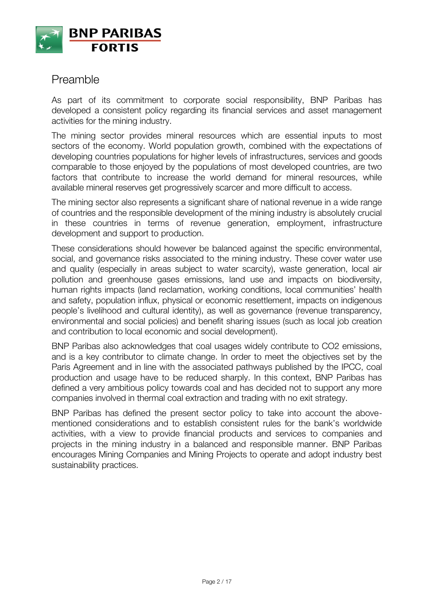

## Preamble

As part of its commitment to corporate social responsibility, BNP Paribas has developed a consistent policy regarding its financial services and asset management activities for the mining industry.

The mining sector provides mineral resources which are essential inputs to most sectors of the economy. World population growth, combined with the expectations of developing countries populations for higher levels of infrastructures, services and goods comparable to those enjoyed by the populations of most developed countries, are two factors that contribute to increase the world demand for mineral resources, while available mineral reserves get progressively scarcer and more difficult to access.

The mining sector also represents a significant share of national revenue in a wide range of countries and the responsible development of the mining industry is absolutely crucial in these countries in terms of revenue generation, employment, infrastructure development and support to production.

These considerations should however be balanced against the specific environmental, social, and governance risks associated to the mining industry. These cover water use and quality (especially in areas subject to water scarcity), waste generation, local air pollution and greenhouse gases emissions, land use and impacts on biodiversity, human rights impacts (land reclamation, working conditions, local communities' health and safety, population influx, physical or economic resettlement, impacts on indigenous people's livelihood and cultural identity), as well as governance (revenue transparency, environmental and social policies) and benefit sharing issues (such as local job creation and contribution to local economic and social development).

BNP Paribas also acknowledges that coal usages widely contribute to CO2 emissions, and is a key contributor to climate change. In order to meet the objectives set by the Paris Agreement and in line with the associated pathways published by the IPCC, coal production and usage have to be reduced sharply. In this context, BNP Paribas has defined a very ambitious policy towards coal and has decided not to support any more companies involved in thermal coal extraction and trading with no exit strategy.

BNP Paribas has defined the present sector policy to take into account the abovementioned considerations and to establish consistent rules for the bank's worldwide activities, with a view to provide financial products and services to companies and projects in the mining industry in a balanced and responsible manner. BNP Paribas encourages Mining Companies and Mining Projects to operate and adopt industry best sustainability practices.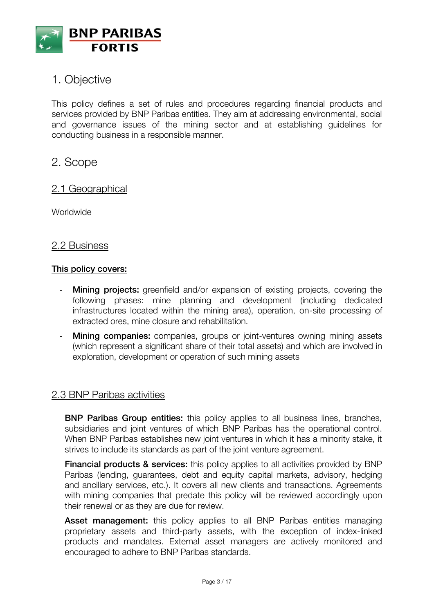

# 1. Objective

This policy defines a set of rules and procedures regarding financial products and services provided by BNP Paribas entities. They aim at addressing environmental, social and governance issues of the mining sector and at establishing guidelines for conducting business in a responsible manner.

## 2. Scope

### 2.1 Geographical

Worldwide

#### 2.2 Business

#### **This policy covers:**

- **Mining projects:** greenfield and/or expansion of existing projects, covering the following phases: mine planning and development (including dedicated infrastructures located within the mining area), operation, on-site processing of extracted ores, mine closure and rehabilitation.
- **Mining companies:** companies, groups or joint-ventures owning mining assets (which represent a significant share of their total assets) and which are involved in exploration, development or operation of such mining assets

### 2.3 BNP Paribas activities

**BNP Paribas Group entities:** this policy applies to all business lines, branches, subsidiaries and joint ventures of which BNP Paribas has the operational control. When BNP Paribas establishes new joint ventures in which it has a minority stake, it strives to include its standards as part of the joint venture agreement.

**Financial products & services:** this policy applies to all activities provided by BNP Paribas (lending, guarantees, debt and equity capital markets, advisory, hedging and ancillary services, etc.). It covers all new clients and transactions. Agreements with mining companies that predate this policy will be reviewed accordingly upon their renewal or as they are due for review.

Asset management: this policy applies to all BNP Paribas entities managing proprietary assets and third-party assets, with the exception of index-linked products and mandates. External asset managers are actively monitored and encouraged to adhere to BNP Paribas standards.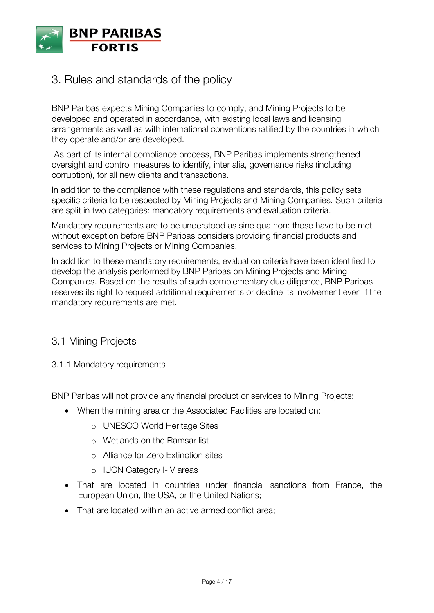

# 3. Rules and standards of the policy

BNP Paribas expects Mining Companies to comply, and Mining Projects to be developed and operated in accordance, with existing local laws and licensing arrangements as well as with international conventions ratified by the countries in which they operate and/or are developed.

As part of its internal compliance process, BNP Paribas implements strengthened oversight and control measures to identify, inter alia, governance risks (including corruption), for all new clients and transactions.

In addition to the compliance with these regulations and standards, this policy sets specific criteria to be respected by Mining Projects and Mining Companies. Such criteria are split in two categories: mandatory requirements and evaluation criteria.

Mandatory requirements are to be understood as sine qua non: those have to be met without exception before BNP Paribas considers providing financial products and services to Mining Projects or Mining Companies.

In addition to these mandatory requirements, evaluation criteria have been identified to develop the analysis performed by BNP Paribas on Mining Projects and Mining Companies. Based on the results of such complementary due diligence, BNP Paribas reserves its right to request additional requirements or decline its involvement even if the mandatory requirements are met.

## 3.1 Mining Projects

3.1.1 Mandatory requirements

BNP Paribas will not provide any financial product or services to Mining Projects:

- When the mining area or the Associated Facilities are located on:
	- o UNESCO World Heritage Sites
	- o Wetlands on the Ramsar list
	- o Alliance for Zero Extinction sites
	- o IUCN Category I-IV areas
- That are located in countries under financial sanctions from France, the European Union, the USA, or the United Nations;
- That are located within an active armed conflict area;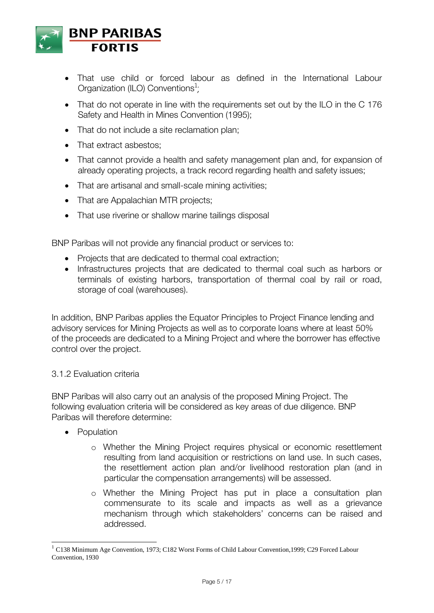

- That use child or forced labour as defined in the International Labour Organization (ILO) Conventions<sup>1</sup>;
- That do not operate in line with the requirements set out by the ILO in the C 176 Safety and Health in Mines Convention (1995);
- That do not include a site reclamation plan;
- That extract asbestos:
- That cannot provide a health and safety management plan and, for expansion of already operating projects, a track record regarding health and safety issues;
- That are artisanal and small-scale mining activities;
- That are Appalachian MTR projects;
- That use riverine or shallow marine tailings disposal

BNP Paribas will not provide any financial product or services to:

- Projects that are dedicated to thermal coal extraction;
- Infrastructures projects that are dedicated to thermal coal such as harbors or terminals of existing harbors, transportation of thermal coal by rail or road, storage of coal (warehouses).

In addition, BNP Paribas applies the Equator Principles to Project Finance lending and advisory services for Mining Projects as well as to corporate loans where at least 50% of the proceeds are dedicated to a Mining Project and where the borrower has effective control over the project.

#### 3.1.2 Evaluation criteria

BNP Paribas will also carry out an analysis of the proposed Mining Project. The following evaluation criteria will be considered as key areas of due diligence. BNP Paribas will therefore determine:

• Population

 $\overline{a}$ 

- o Whether the Mining Project requires physical or economic resettlement resulting from land acquisition or restrictions on land use. In such cases, the resettlement action plan and/or livelihood restoration plan (and in particular the compensation arrangements) will be assessed.
- o Whether the Mining Project has put in place a consultation plan commensurate to its scale and impacts as well as a grievance mechanism through which stakeholders' concerns can be raised and addressed.

<sup>&</sup>lt;sup>1</sup> C138 Minimum Age Convention, 1973; C182 Worst Forms of Child Labour Convention, 1999; C29 Forced Labour Convention, 1930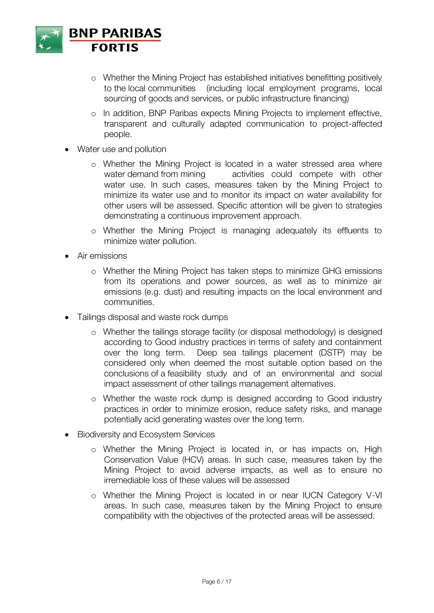

- o Whether the Mining Project has established initiatives benefitting positively to the local communities (including local employment programs, local sourcing of goods and services, or public infrastructure financing)
- o In addition, BNP Paribas expects Mining Projects to implement effective, transparent and culturally adapted communication to project-affected people.
- Water use and pollution
	- o Whether the Mining Project is located in a water stressed area where water demand from mining activities could compete with other water use. In such cases, measures taken by the Mining Project to minimize its water use and to monitor its impact on water availability for other users will be assessed. Specific attention will be given to strategies demonstrating a continuous improvement approach.
	- o Whether the Mining Project is managing adequately its effluents to minimize water pollution.
- Air emissions
	- o Whether the Mining Project has taken steps to minimize GHG emissions from its operations and power sources, as well as to minimize air emissions (e.g. dust) and resulting impacts on the local environment and communities.
- Tailings disposal and waste rock dumps
	- o Whether the tailings storage facility (or disposal methodology) is designed according to Good industry practices in terms of safety and containment over the long term. Deep sea tailings placement (DSTP) may be considered only when deemed the most suitable option based on the conclusions of a feasibility study and of an environmental and social impact assessment of other tailings management alternatives.
	- o Whether the waste rock dump is designed according to Good industry practices in order to minimize erosion, reduce safety risks, and manage potentially acid generating wastes over the long term.
- Biodiversity and Ecosystem Services
	- o Whether the Mining Project is located in, or has impacts on, High Conservation Value (HCV) areas. In such case, measures taken by the Mining Project to avoid adverse impacts, as well as to ensure no irremediable loss of these values will be assessed
	- o Whether the Mining Project is located in or near IUCN Category V-VI areas. In such case, measures taken by the Mining Project to ensure compatibility with the objectives of the protected areas will be assessed.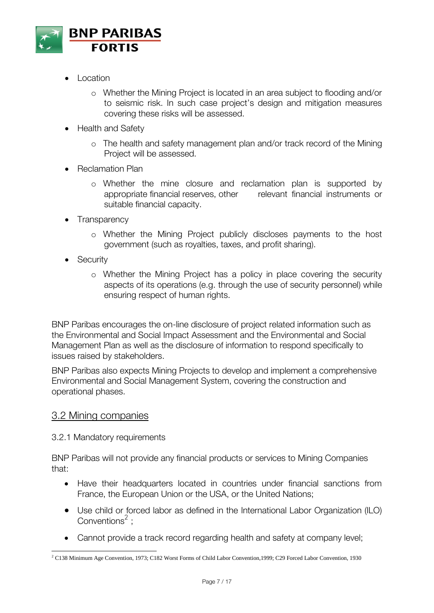

- $\bullet$  Location
	- o Whether the Mining Project is located in an area subject to flooding and/or to seismic risk. In such case project's design and mitigation measures covering these risks will be assessed.
- Health and Safety
	- o The health and safety management plan and/or track record of the Mining Project will be assessed.
- Reclamation Plan
	- o Whether the mine closure and reclamation plan is supported by appropriate financial reserves, other relevant financial instruments or suitable financial capacity.
- **Transparency** 
	- o Whether the Mining Project publicly discloses payments to the host government (such as royalties, taxes, and profit sharing).
- **Security** 
	- o Whether the Mining Project has a policy in place covering the security aspects of its operations (e.g. through the use of security personnel) while ensuring respect of human rights.

BNP Paribas encourages the on-line disclosure of project related information such as the Environmental and Social Impact Assessment and the Environmental and Social Management Plan as well as the disclosure of information to respond specifically to issues raised by stakeholders.

BNP Paribas also expects Mining Projects to develop and implement a comprehensive Environmental and Social Management System, covering the construction and operational phases.

#### 3.2 Mining companies

#### 3.2.1 Mandatory requirements

BNP Paribas will not provide any financial products or services to Mining Companies that:

- Have their headquarters located in countries under financial sanctions from France, the European Union or the USA, or the United Nations;
- Use child or forced labor as defined in the International Labor Organization (ILO) Conventions $2$ :
- Cannot provide a track record regarding health and safety at company level;

 $\overline{\phantom{a}}$ <sup>2</sup> C138 Minimum Age Convention, 1973; C182 Worst Forms of Child Labor Convention,1999; C29 Forced Labor Convention, 1930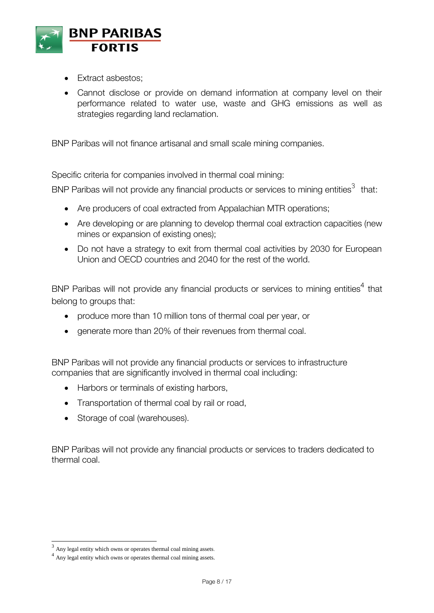

- Fxtract asbestos:
- Cannot disclose or provide on demand information at company level on their performance related to water use, waste and GHG emissions as well as strategies regarding land reclamation.

BNP Paribas will not finance artisanal and small scale mining companies.

Specific criteria for companies involved in thermal coal mining:

BNP Paribas will not provide any financial products or services to mining entities<sup>3</sup> that:

- Are producers of coal extracted from Appalachian MTR operations;
- Are developing or are planning to develop thermal coal extraction capacities (new mines or expansion of existing ones);
- Do not have a strategy to exit from thermal coal activities by 2030 for European Union and OECD countries and 2040 for the rest of the world.

BNP Paribas will not provide any financial products or services to mining entities<sup>4</sup> that belong to groups that:

- produce more than 10 million tons of thermal coal per year, or
- generate more than 20% of their revenues from thermal coal.

BNP Paribas will not provide any financial products or services to infrastructure companies that are significantly involved in thermal coal including:

- Harbors or terminals of existing harbors,
- Transportation of thermal coal by rail or road,
- Storage of coal (warehouses).

BNP Paribas will not provide any financial products or services to traders dedicated to thermal coal.

 $\overline{\phantom{a}}$ 

 $3$  Any legal entity which owns or operates thermal coal mining assets.

<sup>&</sup>lt;sup>4</sup> Any legal entity which owns or operates thermal coal mining assets.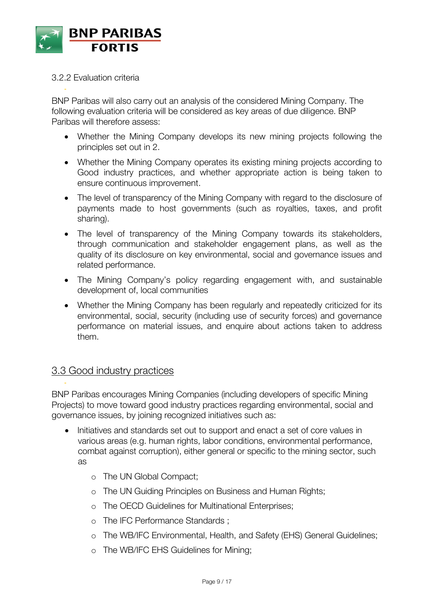

#### 3.2.2 Evaluation criteria

-

BNP Paribas will also carry out an analysis of the considered Mining Company. The following evaluation criteria will be considered as key areas of due diligence. BNP Paribas will therefore assess:

- Whether the Mining Company develops its new mining projects following the principles set out in 2.
- Whether the Mining Company operates its existing mining projects according to Good industry practices, and whether appropriate action is being taken to ensure continuous improvement.
- The level of transparency of the Mining Company with regard to the disclosure of payments made to host governments (such as royalties, taxes, and profit sharing).
- The level of transparency of the Mining Company towards its stakeholders, through communication and stakeholder engagement plans, as well as the quality of its disclosure on key environmental, social and governance issues and related performance.
- The Mining Company's policy regarding engagement with, and sustainable development of, local communities
- Whether the Mining Company has been regularly and repeatedly criticized for its environmental, social, security (including use of security forces) and governance performance on material issues, and enquire about actions taken to address them.

## 3.3 Good industry practices

-

BNP Paribas encourages Mining Companies (including developers of specific Mining Projects) to move toward good industry practices regarding environmental, social and governance issues, by joining recognized initiatives such as:

- Initiatives and standards set out to support and enact a set of core values in various areas (e.g. human rights, labor conditions, environmental performance, combat against corruption), either general or specific to the mining sector, such as
	- o The UN Global Compact;
	- o The UN Guiding Principles on Business and Human Rights;
	- o The OECD Guidelines for Multinational Enterprises;
	- o The IFC Performance Standards ;
	- o The WB/IFC Environmental, Health, and Safety (EHS) General Guidelines;
	- o The WB/IFC EHS Guidelines for Mining;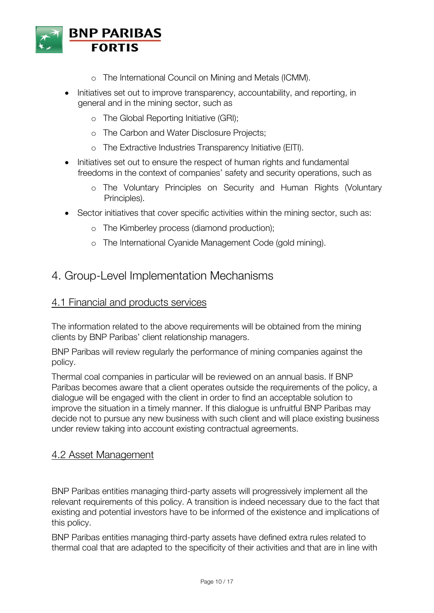

- o The International Council on Mining and Metals (ICMM).
- Initiatives set out to improve transparency, accountability, and reporting, in general and in the mining sector, such as
	- o The Global Reporting Initiative (GRI);
	- o The Carbon and Water Disclosure Projects;
	- o The Extractive Industries Transparency Initiative (EITI).
- Initiatives set out to ensure the respect of human rights and fundamental freedoms in the context of companies' safety and security operations, such as
	- o The Voluntary Principles on Security and Human Rights (Voluntary Principles).
- Sector initiatives that cover specific activities within the mining sector, such as:
	- o The Kimberley process (diamond production);
	- o The International Cyanide Management Code (gold mining).

## 4. Group-Level Implementation Mechanisms

### 4.1 Financial and products services

The information related to the above requirements will be obtained from the mining clients by BNP Paribas' client relationship managers.

BNP Paribas will review regularly the performance of mining companies against the policy.

Thermal coal companies in particular will be reviewed on an annual basis. If BNP Paribas becomes aware that a client operates outside the requirements of the policy, a dialogue will be engaged with the client in order to find an acceptable solution to improve the situation in a timely manner. If this dialogue is unfruitful BNP Paribas may decide not to pursue any new business with such client and will place existing business under review taking into account existing contractual agreements.

### 4.2 Asset Management

BNP Paribas entities managing third-party assets will progressively implement all the relevant requirements of this policy. A transition is indeed necessary due to the fact that existing and potential investors have to be informed of the existence and implications of this policy.

BNP Paribas entities managing third-party assets have defined extra rules related to thermal coal that are adapted to the specificity of their activities and that are in line with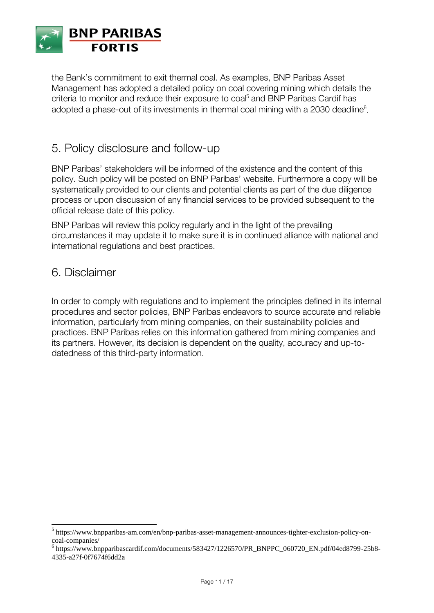

the Bank's commitment to exit thermal coal. As examples, BNP Paribas Asset Management has adopted a detailed policy on coal covering mining which details the criteria to monitor and reduce their exposure to coal<sup>5</sup> and BNP Paribas Cardif has adopted a phase-out of its investments in thermal coal mining with a 2030 deadline<sup>6</sup>.

## 5. Policy disclosure and follow-up

BNP Paribas' stakeholders will be informed of the existence and the content of this policy. Such policy will be posted on BNP Paribas' website. Furthermore a copy will be systematically provided to our clients and potential clients as part of the due diligence process or upon discussion of any financial services to be provided subsequent to the official release date of this policy.

BNP Paribas will review this policy regularly and in the light of the prevailing circumstances it may update it to make sure it is in continued alliance with national and international regulations and best practices.

## 6. Disclaimer

 $\overline{\phantom{a}}$ 

In order to comply with regulations and to implement the principles defined in its internal procedures and sector policies, BNP Paribas endeavors to source accurate and reliable information, particularly from mining companies, on their sustainability policies and practices. BNP Paribas relies on this information gathered from mining companies and its partners. However, its decision is dependent on the quality, accuracy and up-todatedness of this third-party information.

<sup>&</sup>lt;sup>5</sup> https://www.bnpparibas-am.com/en/bnp-paribas-asset-management-announces-tighter-exclusion-policy-oncoal-companies/

<sup>6</sup> https://www.bnpparibascardif.com/documents/583427/1226570/PR\_BNPPC\_060720\_EN.pdf/04ed8799-25b8- 4335-a27f-0f7674f6dd2a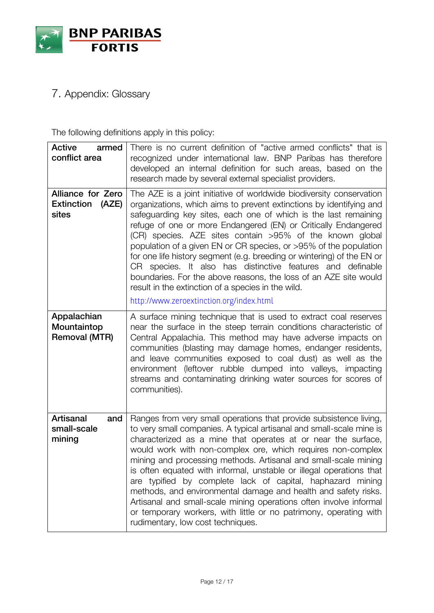

# 7. Appendix: Glossary

The following definitions apply in this policy:

| <b>Active</b><br>armed<br>conflict area                  | There is no current definition of "active armed conflicts" that is<br>recognized under international law. BNP Paribas has therefore<br>developed an internal definition for such areas, based on the<br>research made by several external specialist providers.                                                                                                                                                                                                                                                                                                                                                                                                                                                                      |
|----------------------------------------------------------|--------------------------------------------------------------------------------------------------------------------------------------------------------------------------------------------------------------------------------------------------------------------------------------------------------------------------------------------------------------------------------------------------------------------------------------------------------------------------------------------------------------------------------------------------------------------------------------------------------------------------------------------------------------------------------------------------------------------------------------|
| Alliance for Zero<br><b>Extinction</b><br>(AZE)<br>sites | The AZE is a joint initiative of worldwide biodiversity conservation<br>organizations, which aims to prevent extinctions by identifying and<br>safeguarding key sites, each one of which is the last remaining<br>refuge of one or more Endangered (EN) or Critically Endangered<br>(CR) species. AZE sites contain >95% of the known global<br>population of a given EN or CR species, or >95% of the population<br>for one life history segment (e.g. breeding or wintering) of the EN or<br>CR species. It also has distinctive features and definable<br>boundaries. For the above reasons, the loss of an AZE site would<br>result in the extinction of a species in the wild.<br>http://www.zeroextinction.org/index.html      |
| Appalachian<br>Mountaintop<br><b>Removal (MTR)</b>       | A surface mining technique that is used to extract coal reserves<br>near the surface in the steep terrain conditions characteristic of<br>Central Appalachia. This method may have adverse impacts on<br>communities (blasting may damage homes, endanger residents,<br>and leave communities exposed to coal dust) as well as the<br>environment (leftover rubble dumped into valleys, impacting<br>streams and contaminating drinking water sources for scores of<br>communities).                                                                                                                                                                                                                                                 |
| <b>Artisanal</b><br>and<br>small-scale<br>mining         | Ranges from very small operations that provide subsistence living,<br>to very small companies. A typical artisanal and small-scale mine is<br>characterized as a mine that operates at or near the surface,<br>would work with non-complex ore, which requires non-complex<br>mining and processing methods. Artisanal and small-scale mining<br>is often equated with informal, unstable or illegal operations that<br>are typified by complete lack of capital, haphazard mining<br>methods, and environmental damage and health and safety risks.<br>Artisanal and small-scale mining operations often involve informal<br>or temporary workers, with little or no patrimony, operating with<br>rudimentary, low cost techniques. |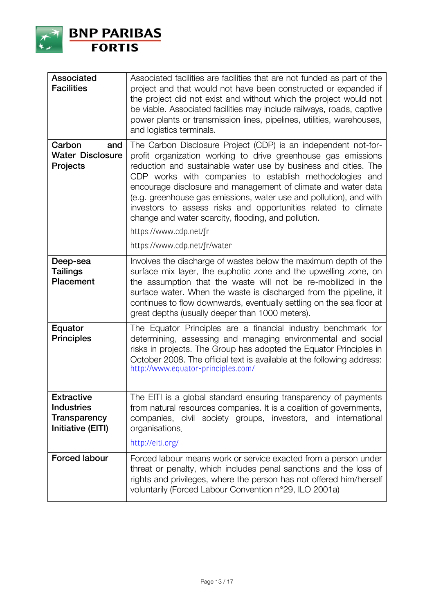

| <b>Associated</b><br><b>Facilities</b>                                      | Associated facilities are facilities that are not funded as part of the<br>project and that would not have been constructed or expanded if<br>the project did not exist and without which the project would not<br>be viable. Associated facilities may include railways, roads, captive<br>power plants or transmission lines, pipelines, utilities, warehouses,<br>and logistics terminals.                                                                                                                                                           |
|-----------------------------------------------------------------------------|---------------------------------------------------------------------------------------------------------------------------------------------------------------------------------------------------------------------------------------------------------------------------------------------------------------------------------------------------------------------------------------------------------------------------------------------------------------------------------------------------------------------------------------------------------|
| Carbon<br>and<br><b>Water Disclosure</b><br><b>Projects</b>                 | The Carbon Disclosure Project (CDP) is an independent not-for-<br>profit organization working to drive greenhouse gas emissions<br>reduction and sustainable water use by business and cities. The<br>CDP works with companies to establish methodologies and<br>encourage disclosure and management of climate and water data<br>(e.g. greenhouse gas emissions, water use and pollution), and with<br>investors to assess risks and opportunities related to climate<br>change and water scarcity, flooding, and pollution.<br>https://www.cdp.net/fr |
|                                                                             | https://www.cdp.net/fr/water                                                                                                                                                                                                                                                                                                                                                                                                                                                                                                                            |
| Deep-sea<br><b>Tailings</b><br>Placement                                    | Involves the discharge of wastes below the maximum depth of the<br>surface mix layer, the euphotic zone and the upwelling zone, on<br>the assumption that the waste will not be re-mobilized in the<br>surface water. When the waste is discharged from the pipeline, it<br>continues to flow downwards, eventually settling on the sea floor at<br>great depths (usually deeper than 1000 meters).                                                                                                                                                     |
| Equator<br><b>Principles</b>                                                | The Equator Principles are a financial industry benchmark for<br>determining, assessing and managing environmental and social<br>risks in projects. The Group has adopted the Equator Principles in<br>October 2008. The official text is available at the following address:<br>http://www.equator-principles.com/                                                                                                                                                                                                                                     |
| <b>Extractive</b><br><b>Industries</b><br>Transparency<br>Initiative (EITI) | The EITI is a global standard ensuring transparency of payments<br>from natural resources companies. It is a coalition of governments,<br>companies, civil society groups, investors, and international<br>organisations.<br>http://eiti.org/                                                                                                                                                                                                                                                                                                           |
| <b>Forced labour</b>                                                        | Forced labour means work or service exacted from a person under<br>threat or penalty, which includes penal sanctions and the loss of<br>rights and privileges, where the person has not offered him/herself<br>voluntarily (Forced Labour Convention n°29, ILO 2001a)                                                                                                                                                                                                                                                                                   |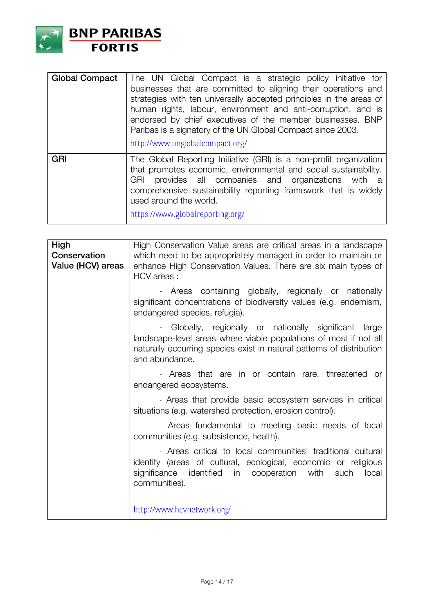

| <b>Global Compact</b> | The UN Global Compact is a strategic policy initiative for<br>businesses that are committed to aligning their operations and<br>strategies with ten universally accepted principles in the areas of<br>human rights, labour, environment and anti-corruption, and is<br>endorsed by chief executives of the member businesses. BNP<br>Paribas is a signatory of the UN Global Compact since 2003.<br>http://www.unglobalcompact.org/ |
|-----------------------|--------------------------------------------------------------------------------------------------------------------------------------------------------------------------------------------------------------------------------------------------------------------------------------------------------------------------------------------------------------------------------------------------------------------------------------|
| <b>GRI</b>            | The Global Reporting Initiative (GRI) is a non-profit organization<br>that promotes economic, environmental and social sustainability.<br>provides all companies and organizations with<br><b>GRI</b><br>- a<br>comprehensive sustainability reporting framework that is widely<br>used around the world.<br>https://www.globalreporting.org/                                                                                        |

| High<br>Conservation<br>Value (HCV) areas | High Conservation Value areas are critical areas in a landscape<br>which need to be appropriately managed in order to maintain or<br>enhance High Conservation Values. There are six main types of<br>HCV areas:        |
|-------------------------------------------|-------------------------------------------------------------------------------------------------------------------------------------------------------------------------------------------------------------------------|
|                                           | - Areas containing globally, regionally or nationally<br>significant concentrations of biodiversity values (e.g. endemism,<br>endangered species, refugia).                                                             |
|                                           | Globally, regionally or nationally significant<br>large<br>landscape-level areas where viable populations of most if not all<br>naturally occurring species exist in natural patterns of distribution<br>and abundance. |
|                                           | - Areas that are in or contain rare, threatened or<br>endangered ecosystems.                                                                                                                                            |
|                                           | - Areas that provide basic ecosystem services in critical<br>situations (e.g. watershed protection, erosion control).                                                                                                   |
|                                           | - Areas fundamental to meeting basic needs of local<br>communities (e.g. subsistence, health).                                                                                                                          |
|                                           | - Areas critical to local communities' traditional cultural<br>identity (areas of cultural, ecological, economic or religious<br>identified<br>in cooperation<br>with<br>local<br>significance<br>such<br>communities). |
|                                           | http://www.hcvnetwork.org/                                                                                                                                                                                              |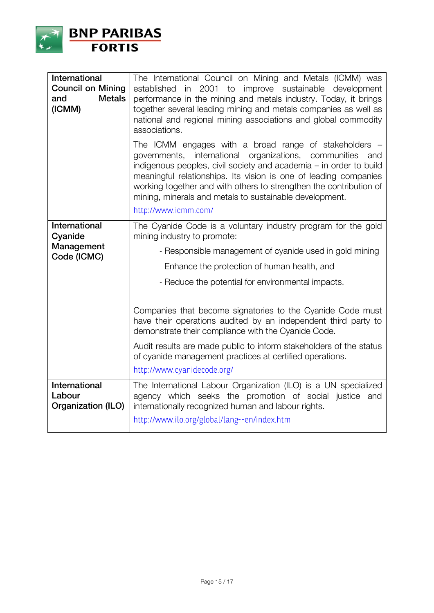

| International<br><b>Council on Mining</b><br><b>Metals</b><br>and<br>(ICMM) | The International Council on Mining and Metals (ICMM) was<br>in 2001<br>to<br>improve sustainable development<br>established<br>performance in the mining and metals industry. Today, it brings<br>together several leading mining and metals companies as well as<br>national and regional mining associations and global commodity<br>associations.                                                                      |
|-----------------------------------------------------------------------------|----------------------------------------------------------------------------------------------------------------------------------------------------------------------------------------------------------------------------------------------------------------------------------------------------------------------------------------------------------------------------------------------------------------------------|
|                                                                             | The ICMM engages with a broad range of stakeholders $-$<br>governments, international organizations, communities<br>and<br>indigenous peoples, civil society and academia – in order to build<br>meaningful relationships. Its vision is one of leading companies<br>working together and with others to strengthen the contribution of<br>mining, minerals and metals to sustainable development.<br>http://www.icmm.com/ |
| International<br>Cyanide                                                    | The Cyanide Code is a voluntary industry program for the gold<br>mining industry to promote:                                                                                                                                                                                                                                                                                                                               |
| Management<br>Code (ICMC)                                                   | - Responsible management of cyanide used in gold mining                                                                                                                                                                                                                                                                                                                                                                    |
|                                                                             |                                                                                                                                                                                                                                                                                                                                                                                                                            |
|                                                                             | - Enhance the protection of human health, and                                                                                                                                                                                                                                                                                                                                                                              |
|                                                                             | - Reduce the potential for environmental impacts.                                                                                                                                                                                                                                                                                                                                                                          |
|                                                                             | Companies that become signatories to the Cyanide Code must<br>have their operations audited by an independent third party to<br>demonstrate their compliance with the Cyanide Code.                                                                                                                                                                                                                                        |
|                                                                             | Audit results are made public to inform stakeholders of the status<br>of cyanide management practices at certified operations.                                                                                                                                                                                                                                                                                             |
|                                                                             | http://www.cyanidecode.org/                                                                                                                                                                                                                                                                                                                                                                                                |
| International<br>Labour<br>Organization (ILO)                               | The International Labour Organization (ILO) is a UN specialized<br>agency which seeks the promotion of social justice and<br>internationally recognized human and labour rights.<br>http://www.ilo.org/global/lang--en/index.htm                                                                                                                                                                                           |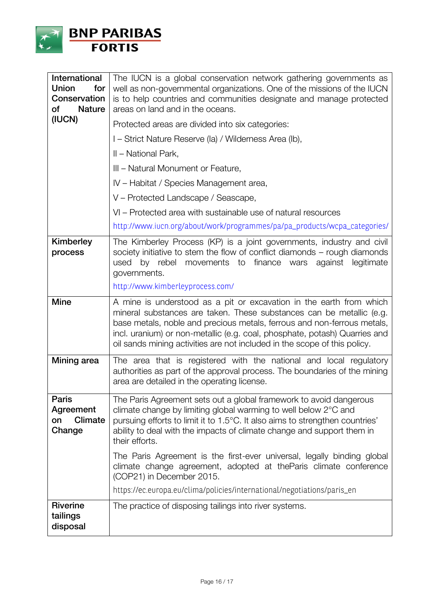

| <b>International</b><br><b>Union</b><br>for<br>Conservation<br>of<br><b>Nature</b><br>(IUCN) | The IUCN is a global conservation network gathering governments as<br>well as non-governmental organizations. One of the missions of the IUCN<br>is to help countries and communities designate and manage protected<br>areas on land and in the oceans.<br>Protected areas are divided into six categories:<br>I – Strict Nature Reserve (la) / Wilderness Area (lb),<br>II – National Park,<br>III – Natural Monument or Feature,<br>IV - Habitat / Species Management area,<br>V - Protected Landscape / Seascape,<br>VI - Protected area with sustainable use of natural resources |
|----------------------------------------------------------------------------------------------|----------------------------------------------------------------------------------------------------------------------------------------------------------------------------------------------------------------------------------------------------------------------------------------------------------------------------------------------------------------------------------------------------------------------------------------------------------------------------------------------------------------------------------------------------------------------------------------|
|                                                                                              | http://www.iucn.org/about/work/programmes/pa/pa_products/wcpa_categories/                                                                                                                                                                                                                                                                                                                                                                                                                                                                                                              |
| Kimberley<br>process                                                                         | The Kimberley Process (KP) is a joint governments, industry and civil<br>society initiative to stem the flow of conflict diamonds $-$ rough diamonds<br>used by rebel<br>movements to finance wars against<br>legitimate<br>governments.<br>http://www.kimberleyprocess.com/                                                                                                                                                                                                                                                                                                           |
| <b>Mine</b>                                                                                  | A mine is understood as a pit or excavation in the earth from which<br>mineral substances are taken. These substances can be metallic (e.g.<br>base metals, noble and precious metals, ferrous and non-ferrous metals,<br>incl. uranium) or non-metallic (e.g. coal, phosphate, potash) Quarries and<br>oil sands mining activities are not included in the scope of this policy.                                                                                                                                                                                                      |
| Mining area                                                                                  | The area that is registered with the national and local regulatory<br>authorities as part of the approval process. The boundaries of the mining<br>area are detailed in the operating license.                                                                                                                                                                                                                                                                                                                                                                                         |
| <b>Paris</b><br>Agreement<br><b>Climate</b><br>on<br>Change                                  | The Paris Agreement sets out a global framework to avoid dangerous<br>climate change by limiting global warming to well below 2°C and<br>pursuing efforts to limit it to 1.5°C. It also aims to strengthen countries'<br>ability to deal with the impacts of climate change and support them in<br>their efforts.                                                                                                                                                                                                                                                                      |
|                                                                                              | The Paris Agreement is the first-ever universal, legally binding global<br>climate change agreement, adopted at the Paris climate conference<br>(COP21) in December 2015.<br>https://ec.europa.eu/clima/policies/international/negotiations/paris_en                                                                                                                                                                                                                                                                                                                                   |
| <b>Riverine</b>                                                                              | The practice of disposing tailings into river systems.                                                                                                                                                                                                                                                                                                                                                                                                                                                                                                                                 |
| tailings<br>disposal                                                                         |                                                                                                                                                                                                                                                                                                                                                                                                                                                                                                                                                                                        |